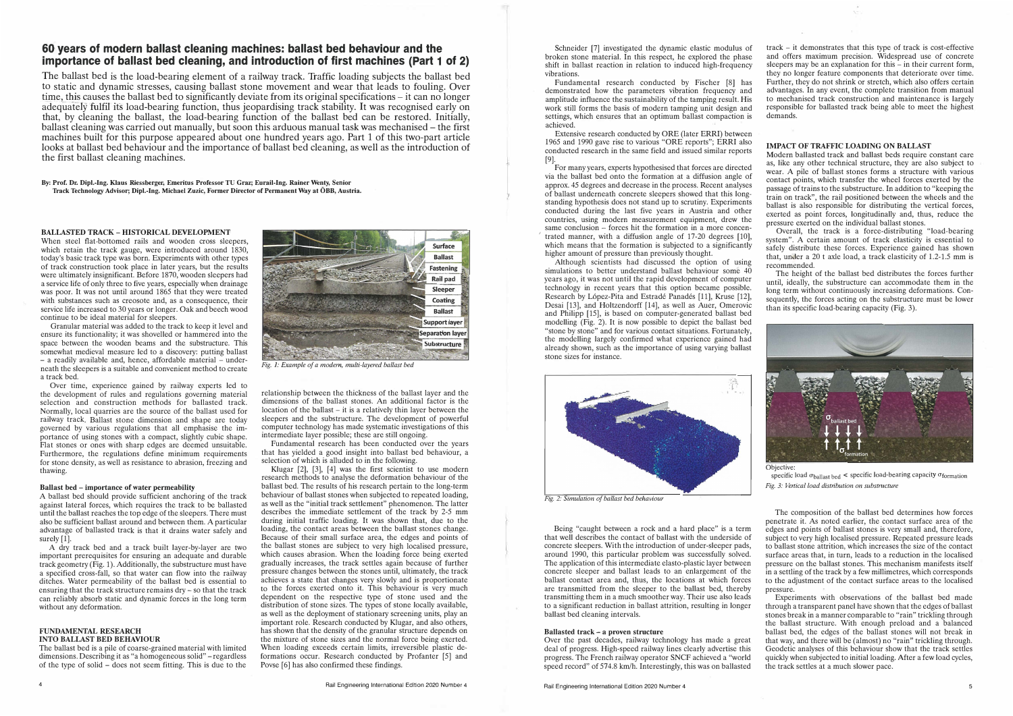# **60 years of modern ballast cleaning machines: ballast bed behaviour and the importance of ballast bed cleaning, and introduction of first machines (Part 1 of 2)**

The ballast bed is the load-bearing element of a railway track. Traffic loading subjects the ballast bed to static and dynamic stresses, causing ballast stone movement and wear that leads to fouling. Over time, this causes the ballast bed to significantly deviate from its original specifications  $-$  it can no longer adequately fulfil its load-bearing function, thus jeopardising track stability. It was recognised early on that, by cleaning the ballast, the load-bearing function of the ballast bed can be restored. Initially, ballast cleaning was carried out manually, but soon this arduous manual task was mechanised - the first machines built for this purpose appeared about one hundred years ago. Part 1 of this two-part article looks at ballast bed behaviour and the importance of ballast bed cleaning, as well as the introduction of the first ballast cleaning machines.

**By: Prof. Dr. Dipl.-lng. Klaus Riessberger, Emeritus Professor TU Graz; Eurail-lng. Rainer Wenty, Senior Track Technology Advisor; Dipl.-lng. Michael Zuzic, Former Director of Permanent Way at OBB, Austria.** 

### **BALLASTED TRACK** - **HISTORICAL DEVELOPMENT**

A ballast bed should provide sufficient anchoring of the track against lateral forces, which requires the track to be ballasted until the ballast reaches the top edge of the sleepers. There must also be sufficient ballast around and between them. A particular advantage of ballasted track is that it drains water safely and surely  $[1]$ .

When steel flat-bottomed rails and wooden cross sleepers, which retain the track gauge, were introduced around 1830, today's basic track type was born. Experiments with other types of track construction took place in later years, but the results were ultimately insignificant. Before 1870, wooden sleepers had a service life of only three to five years, especially when drainage was poor. It was not until around 1865 that they were treated with substances such as creosote and, as a consequence, their service life increased to 30 years or longer. Oak and beech wood continue to be ideal material for sleepers.

Granular material was added to the track to keep it level and ensure its functionality; it was shovelled or hammered into the space between the wooden beams and the substructure. This somewhat medieval measure led to a discovery: putting ballast - a readily available and, hence, affordable material - underneath the sleepers is a suitable and convenient method to create a track bed.

Over time, experience gained by railway experts led to the development of rules and regulations governing material selection and construction methods for ballasted track. Normally, local quarries are the source of the ballast used for railway track. Ballast stone dimension and shape are today governed by various regulations that all emphasise the importance of using stones with a compact, slightly cubic shape. Flat stones or ones with sharp edges are deemed unsuitable. Furthermore, the regulations define minimum requirements for stone density, as well as resistance to abrasion, freezing and thawing.

#### **Ballast bed - importance of water permeability**

A dry track bed and a track built layer-by-layer are two important prerequisites for ensuring an adequate and durable track geometry  $(Fig. 1)$ . Additionally, the substructure must have a specified cross-fall, so that water can flow into the railway ditches. Water permeability of the ballast bed is essential to ensuring that the track structure remains dry - so that the track can reliably absorb static and dynamic forces in the long term without any deformation.

#### **FUNDAMENTAL RESEARCH INTO BALLAST BED BEHAVIOUR**

The ballast bed is a pile of coarse-grained material with limited dimensions. Describing it as "a homogeneous solid" – regardless of the type of solid - does not seem fitting. This is due to the



*Fig. 1: Example of a modern, multi-layered ballast bed* 

relationship between the thickness of the ballast layer and the dimensions of the ballast stones. An additional factor is the location of the ballast – it is a relatively thin layer between the sleepers and the substructure. The development of powerful computer technology has made systematic investigations of this intermediate layer possible; these are still ongoing.

Fundamental research has been conducted over the years that has yielded a good insight into ballast bed behaviour, a selection of which is alluded to in the following.

Klugar [2), [3), [4) was the first scientist to use modern research methods to analyse the deformation behaviour of the ballast bed. The results of his research pertain to the long-term behaviour of ballast stones when subjected to repeated loading, as well as the "initial track settlement" phenomenon. The latter describes the immediate settlement of the track by 2-5 mm during initial traffic loading. It was shown that, due to the loading, the contact areas between the ballast stones change. Because of their small surface area, the edges and points of the ballast stones are subject to very high localised pressure, which causes abrasion. When the loading force being exerted gradually increases, the track settles again because of further pressure changes between the stones until, ultimately, the track achieves a state that changes very slowly and is proportionate to the forces exerted onto it. This behaviour is very much dependent on the respective type of stone used and the distribution of stone sizes. The types of stone locally available, as well as the deployment of stationary screening units, play an important role. Research conducted by Klugar, and also others, has shown that the density of the granular structure depends on the mixture of stone sizes and the normal force being exerted. When loading exceeds certain limits, irreversible plastic deformations occur. Research conducted by Profanter [5) and Povse [6) has also confirmed these findings.

Schneider [7) investigated the dynamic elastic modulus of broken stone material. In this respect, he explored the phase shift in ballast reaction in relation to induced high-frequency vibrations.

Fundamental research conducted by Fischer [8] has demonstrated how the parameters vibration frequency and amplitude influence the sustainability of the tamping result. His work still forms the basis of modern tamping unit design and settings, which ensures that an optimum ballast compaction is achieved.

Extensive research conducted by ORE (later ERRI) between 1965 and 1990 gave rise to various "ORE reports"; ERRI also conducted research in the same field and issued similar reports [9).

For many years, experts hypothesised that forces are directed via the ballast bed onto the formation at a diffusion angle of approx. 45 degrees and decrease in the process. Recent analyses of ballast underneath concrete sleepers showed that this longstanding hypothesis does not stand up to scrutiny. Experiments conducted during the last five years in Austria and other countries, using modern measurement equipment, drew the same conclusion – forces hit the formation in a more concentrated manner, with a diffusion angle of 17-20 degrees [10], which means that the formation is subjected to a significantly higher amount of pressure than previously thought.

Although scientists had discussed the option of using simulations to better understand ballast behaviour some 40 years ago, it was not until the rapid development of computer technology in recent years that this option became possible. Research by López-Pita and Estradé Panadés [11], Kruse [12], Desai [13), and Holtzendorff [14), as well as Auer, Omerovic and Philipp [15), is based on computer-generated ballast bed modelling (Fig. 2). It is now possible to depict the ballast bed "stone by stone" and for various contact situations. Fortunately, the modelling largely confirmed what experience gained had already shown, such as the importance of using varying ballast stone sizes for instance.



*Fig. 2: Simulation of ballast bed behaviour* 

Being "caught between a rock and a hard place" is a term that well describes the contact of ballast with the underside of concrete sleepers. With the introduction of under-sleeper pads, around 1990, this particular problem was successfully solved. The application of this intermediate elasto-plastic layer between concrete sleeper and ballast leads to an enlargement of the ballast contact area and, thus, the locations at which forces are transmitted from the sleeper to the ballast bed, thereby transmitting them in a much smoother way. Their use also leads to a significant reduction in ballast attrition, resulting in longer ballast bed cleaning intervals.

#### **Ballasted track - a proven structure**

Over the past decades, railway technology has made a great deal of progress. High-speed railway lines clearly advertise this progress. The French railway operator SNCF achieved a "world speed record" of 574.8 km/h. Interestingly, this was on ballasted track - it demonstrates that this type of track is cost-effective and offers maximum precision. Widespread use of concrete sleepers may be an explanation for this  $-$  in their current form, they no longer feature components that deteriorate over time. Further, they do not shrink or stretch, which also offers certain advantages. In any event, the complete transition from manual to mechanised track construction and maintenance is largely responsible for ballasted track being able to meet the highest demands.

## **IMPACT OF TRAFFIC LOADING ON BALLAST**

Modern ballasted track and ballast beds require constant care as, like any other technical structure, they are also subject to wear. A pile of ballast stones forms a structure with various contact points, which transfer the wheel forces exerted by the passage of trains to the substructure. In addition to "keeping the train on track", the rail positioned between the wheels and the ballast is also responsible for distributing the vertical forces, exerted as point forces, longitudinally and, thus, reduce the pressure exerted on the individual ballast stones.

Overall, the track is a force-distributing "load-bearing system". A certain amount of track elasticity is essential to safely distribute these forces. Experience gained has shown that, under a 20 t axle load, a track elasticity of 1.2-1.5 mm is recommended.

The height of the ballast bed distributes the forces further until, ideally, the substructure can accommodate them in the long term without continuously increasing deformations. Consequently, the forces acting on the substructure must be lower than its specific load-bearing capacity (Fig. 3).



Objective:

specific load  $\sigma_{\text{ballast bed}}$  < specific load-bearing capacity  $\sigma_{\text{formation}}$ Fig. 3: Vertical load distribution on substructure

The composition of the ballast bed determines how forces penetrate it. As noted earlier, the contact surface area of the edges and points of ballast stones is very small and, therefore, subject to very high localised pressure. Repeated pressure leads to ballast stone attrition, which increases the size of the contact surface areas that, in turn, leads to a reduction in the localised pressure on the ballast stones. This mechanism manifests itself in a settling of the track by a few millimetres, which corresponds to the adjustment of the contact surface areas to the localised pressure.

Experiments with observations of the ballast bed made through a transparent panel have shown that the edges of ballast stones break in a manner comparable to "rain" trickling through the ballast structure. With enough preload and a balanced ballast bed, the edges of the ballast stones will not break in that way, and there will be (almost) no "rain" trickling through. Geodetic analyses of this behaviour show that the track settles quickly when subjected to initial loading. After a few load cycles, the track settles at a much slower pace.